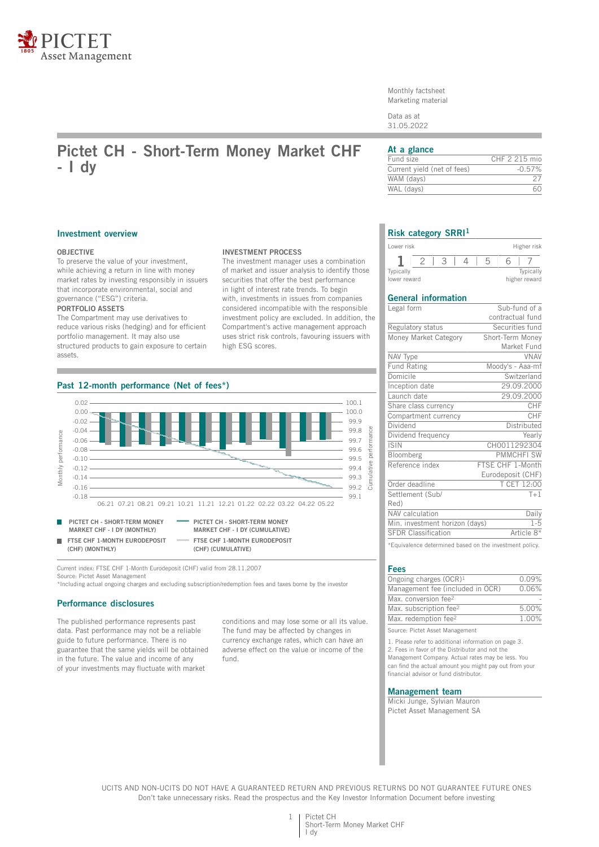

Monthly factsheet Marketing material

Data as at 31.05.2022

# **Pictet CH - Short-Term Money Market CHF - I dy**

## **At a glance**

| Fund size                   | CHF 2 215 mio |
|-----------------------------|---------------|
| Current yield (net of fees) | $-0.57%$      |
| WAM (davs)                  |               |
| WAL (days)                  |               |
|                             |               |

#### **Investment overview**

### **OBJECTIVE**

To preserve the value of your investment, while achieving a return in line with money market rates by investing responsibly in issuers that incorporate environmental, social and governance ("ESG") criteria. **PORTFOLIO ASSETS**

The Compartment may use derivatives to reduce various risks (hedging) and for efficient portfolio management. It may also use structured products to gain exposure to certain assets.

#### **INVESTMENT PROCESS**

The investment manager uses a combination of market and issuer analysis to identify those securities that offer the best performance in light of interest rate trends. To begin with, investments in issues from companies considered incompatible with the responsible investment policy are excluded. In addition, the Compartment's active management approach uses strict risk controls, favouring issuers with high ESG scores.



Current index: FTSE CHF 1-Month Eurodeposit (CHF) valid from 28.11.2007 Source: Pictet Asset Management

\*Including actual ongoing charges and excluding subscription/redemption fees and taxes borne by the investor

## **Performance disclosures**

The published performance represents past data. Past performance may not be a reliable guide to future performance. There is no guarantee that the same yields will be obtained in the future. The value and income of any of your investments may fluctuate with market

conditions and may lose some or all its value. The fund may be affected by changes in currency exchange rates, which can have an adverse effect on the value or income of the fund.

## **Risk category SRRI<sup>1</sup>**

| Lower risk                |  |  | Higher risk                |
|---------------------------|--|--|----------------------------|
|                           |  |  |                            |
| Typically<br>lower reward |  |  | Typically<br>higher reward |

## **General information**

| Legal form                     | Sub-fund of a     |
|--------------------------------|-------------------|
|                                | contractual fund  |
| Regulatory status              | Securities fund   |
| Money Market Category          | Short-Term Money  |
|                                | Market Fund       |
| NAV Type                       | <b>VNAV</b>       |
| <b>Fund Rating</b>             | Moody's - Aaa-mf  |
| Domicile                       | Switzerland       |
| Inception date                 | 29.09.2000        |
| Launch date                    | 29.09.2000        |
| Share class currency           | CHF               |
| Compartment currency           | CHF               |
| Dividend                       | Distributed       |
| Dividend frequency             | Yearly            |
| <b>ISIN</b>                    | CH0011292304      |
| Bloomberg                      | <b>PMMCHFI SW</b> |
| Reference index                | FTSE CHF 1-Month  |
|                                | Eurodeposit (CHF) |
| Order deadline                 | T CET 12:00       |
| Settlement (Sub/               | $T+1$             |
| Red)                           |                   |
| NAV calculation                | Daily             |
| Min. investment horizon (days) | $1 - 5$           |
| <b>SFDR Classification</b>     | Article 8*        |
|                                |                   |

\*Equivalence determined based on the investment policy.

#### **Fees**

| Ongoing charges $(OCR)^1$          | 0.09%    |
|------------------------------------|----------|
| Management fee (included in OCR)   | 0.06%    |
| Max. conversion fee <sup>2</sup>   |          |
| Max. subscription fee <sup>2</sup> | 5.00%    |
| Max. redemption fee <sup>2</sup>   | $1.00\%$ |
|                                    |          |

Source: Pictet Asset Management

1. Please refer to additional information on page 3. 2. Fees in favor of the Distributor and not the Management Company. Actual rates may be less. You can find the actual amount you might pay out from your financial advisor or fund distributor.

#### **Management team**

Micki Junge, Sylvian Mauron Pictet Asset Management SA

UCITS AND NON-UCITS DO NOT HAVE A GUARANTEED RETURN AND PREVIOUS RETURNS DO NOT GUARANTEE FUTURE ONES Don't take unnecessary risks. Read the prospectus and the Key Investor Information Document before investing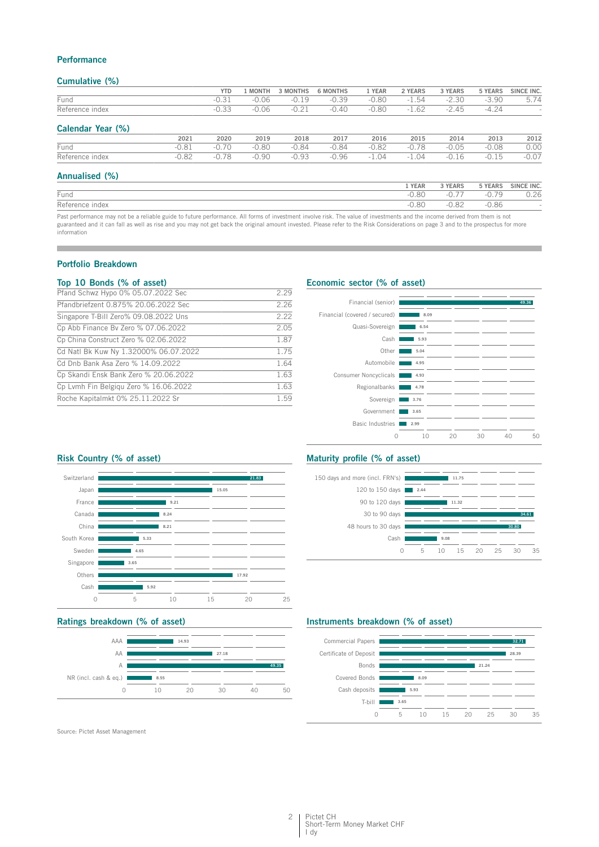## **Performance**

## **Cumulative (%)**

|                   |         | <b>YTD</b> | <b>MONTH</b> | 3 MONTHS | <b>6 MONTHS</b> | 1 YEAR  | 2 YEARS       | 3 YEARS                            | 5 YEARS       | SINCE INC.               |
|-------------------|---------|------------|--------------|----------|-----------------|---------|---------------|------------------------------------|---------------|--------------------------|
| Fund              |         | $-0.31$    | $-0.06$      | $-0.19$  | $-0.39$         | $-0.80$ | $-1.54$       | $-2.30$                            | $-3.90$       | 5.74                     |
| Reference index   |         | $-0.33$    | $-0.06$      | $-0.21$  | $-0.40$         | $-0.80$ | $-1.62$       | $-2.45$                            | $-4.24$       | $\overline{\phantom{a}}$ |
| Calendar Year (%) |         |            |              |          |                 |         |               |                                    |               |                          |
|                   | 2021    | 2020       | 2019         | 2018     | 2017            | 2016    | 2015          | 2014                               | 2013          | 2012                     |
| Fund              | $-0.81$ | $-0.70$    | $-0.80$      | $-0.84$  | $-0.84$         | $-0.82$ | $-0.78$       | $-0.05$                            | $-0.08$       | 0.00                     |
| Reference index   | $-0.82$ | $-0.78$    | $-0.90$      | $-0.93$  | $-0.96$         | $-1.04$ | $-1.04$       | $-0.16$                            | $-0.15$       | $-0.07$                  |
| Annualised (%)    |         |            |              |          |                 |         |               |                                    |               |                          |
|                   |         |            |              |          |                 |         | 1 YEAR        | 3 YEARS                            | 5 YEARS       | SINCE INC.               |
| $ -$              |         |            |              |          |                 |         | $\cap$ $\cap$ | $\sim$ $\rightarrow$ $\rightarrow$ | $\cap$ $\neg$ | $\sim$ $\sim$            |

| Fund                                                                                                                                                                       | $-0.80$ |         |         | 0.26 |
|----------------------------------------------------------------------------------------------------------------------------------------------------------------------------|---------|---------|---------|------|
| Reference index                                                                                                                                                            | $-0.80$ | $-0.82$ | $-0.86$ |      |
| Past performance may not be a reliable guide to future performance. All forms of investment involve risk. The value of investments and the income derived from them is not |         |         |         |      |

guaranteed and it can fall as well as rise and you may not get back the original amount invested. Please refer to the Risk Considerations on page 3 and to the prospectus for more information

## **Portfolio Breakdown**

### **Top 10 Bonds (% of asset)**

| Pfand Schwz Hypo 0% 05.07.2022 Sec    | 2.29 |
|---------------------------------------|------|
| Pfandbriefzent 0.875% 20.06.2022 Sec  | 2.26 |
| Singapore T-Bill Zero% 09.08.2022 Uns | 2.22 |
| Cp Abb Finance By Zero % 07.06.2022   | 2.05 |
| Cp China Construct Zero % 02.06.2022  | 1.87 |
| Cd Natl Bk Kuw Ny 1.32000% 06.07.2022 | 1.75 |
| Cd Dnb Bank Asa Zero % 14.09.2022     | 1.64 |
| Cp Skandi Ensk Bank Zero % 20.06.2022 | 1.63 |
| Cp Lymh Fin Belgiqu Zero % 16.06.2022 | 1.63 |
| Roche Kapitalmkt 0% 25.11.2022 Sr     | 1.59 |

## **Economic sector (% of asset)**



## **Risk Country (% of asset)**



## **Ratings breakdown (% of asset)**



Source: Pictet Asset Management

## **Maturity profile (% of asset)**



## **Instruments breakdown (% of asset)**

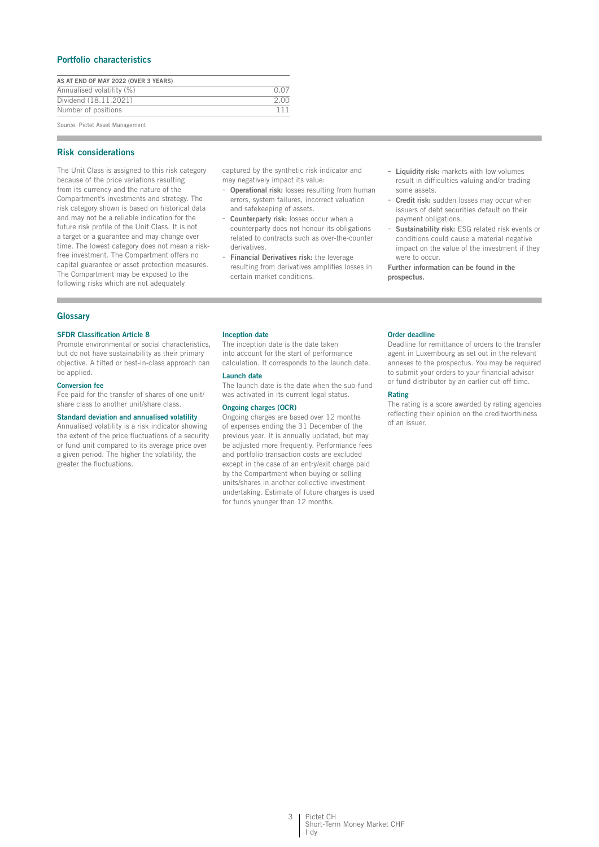## **Portfolio characteristics**

| AS AT END OF MAY 2022 (OVER 3 YEARS) |      |
|--------------------------------------|------|
| Annualised volatility (%)            |      |
| Dividend (18.11.2021)                | 2.00 |
| Number of positions                  | 111  |
| Course Distrit Assat Managament      |      |

Source: Pictet Asset Management

## **Risk considerations**

The Unit Class is assigned to this risk category because of the price variations resulting from its currency and the nature of the Compartment's investments and strategy. The risk category shown is based on historical data and may not be a reliable indication for the future risk profile of the Unit Class. It is not a target or a guarantee and may change over time. The lowest category does not mean a riskfree investment. The Compartment offers no capital guarantee or asset protection measures. The Compartment may be exposed to the following risks which are not adequately

captured by the synthetic risk indicator and may negatively impact its value:

- **Operational risk:** losses resulting from human errors, system failures, incorrect valuation and safekeeping of assets.
- Counterparty risk: losses occur when a counterparty does not honour its obligations related to contracts such as over-the-counter derivatives.
- **Financial Derivatives risk:** the leverage resulting from derivatives amplifies losses in certain market conditions.
- **Liquidity risk:** markets with low volumes result in difficulties valuing and/or trading some assets.
- **Credit risk:** sudden losses may occur when issuers of debt securities default on their payment obligations.
- **Sustainability risk:** ESG related risk events or conditions could cause a material negative impact on the value of the investment if they were to occur.

**Further information can be found in the prospectus.**

## **Glossary**

#### **SFDR Classification Article 8**

Promote environmental or social characteristics, but do not have sustainability as their primary objective. A tilted or best-in-class approach can be applied.

#### **Conversion fee**

Fee paid for the transfer of shares of one unit/ share class to another unit/share class.

#### **Standard deviation and annualised volatility**

Annualised volatility is a risk indicator showing the extent of the price fluctuations of a security or fund unit compared to its average price over a given period. The higher the volatility, the greater the fluctuations.

#### **Inception date**

The inception date is the date taken into account for the start of performance calculation. It corresponds to the launch date.

## **Launch date**

The launch date is the date when the sub-fund was activated in its current legal status.

#### **Ongoing charges (OCR)**

Ongoing charges are based over 12 months of expenses ending the 31 December of the previous year. It is annually updated, but may be adjusted more frequently. Performance fees and portfolio transaction costs are excluded except in the case of an entry/exit charge paid by the Compartment when buying or selling units/shares in another collective investment undertaking. Estimate of future charges is used for funds younger than 12 months.

#### **Order deadline**

Deadline for remittance of orders to the transfer agent in Luxembourg as set out in the relevant annexes to the prospectus. You may be required to submit your orders to your financial advisor or fund distributor by an earlier cut-off time.

#### **Rating**

The rating is a score awarded by rating agencies reflecting their opinion on the creditworthiness of an issuer.